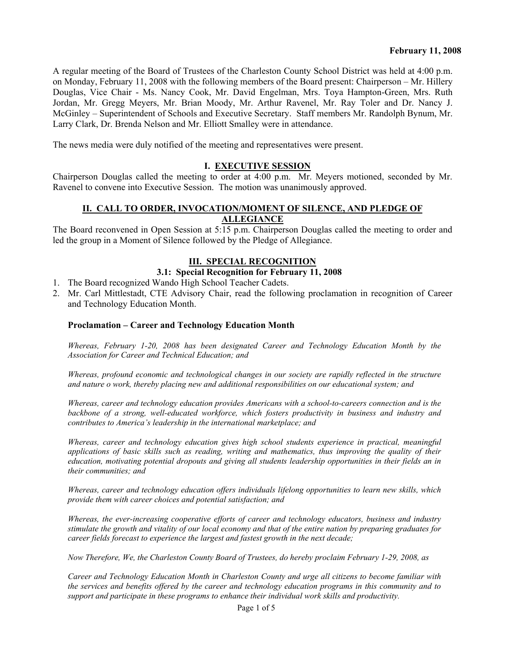A regular meeting of the Board of Trustees of the Charleston County School District was held at 4:00 p.m. on Monday, February 11, 2008 with the following members of the Board present: Chairperson – Mr. Hillery Douglas, Vice Chair - Ms. Nancy Cook, Mr. David Engelman, Mrs. Toya Hampton-Green, Mrs. Ruth Jordan, Mr. Gregg Meyers, Mr. Brian Moody, Mr. Arthur Ravenel, Mr. Ray Toler and Dr. Nancy J. McGinley – Superintendent of Schools and Executive Secretary. Staff members Mr. Randolph Bynum, Mr. Larry Clark, Dr. Brenda Nelson and Mr. Elliott Smalley were in attendance.

The news media were duly notified of the meeting and representatives were present.

#### **I. EXECUTIVE SESSION**

Chairperson Douglas called the meeting to order at 4:00 p.m. Mr. Meyers motioned, seconded by Mr. Ravenel to convene into Executive Session. The motion was unanimously approved.

#### **II. CALL TO ORDER, INVOCATION/MOMENT OF SILENCE, AND PLEDGE OF ALLEGIANCE**

The Board reconvened in Open Session at 5:15 p.m. Chairperson Douglas called the meeting to order and led the group in a Moment of Silence followed by the Pledge of Allegiance.

#### **III. SPECIAL RECOGNITION**

#### **3.1: Special Recognition for February 11, 2008**

- 1. The Board recognized Wando High School Teacher Cadets.
- 2. Mr. Carl Mittlestadt, CTE Advisory Chair, read the following proclamation in recognition of Career and Technology Education Month.

#### **Proclamation – Career and Technology Education Month**

*Whereas, February 1-20, 2008 has been designated Career and Technology Education Month by the Association for Career and Technical Education; and* 

*Whereas, profound economic and technological changes in our society are rapidly reflected in the structure and nature o work, thereby placing new and additional responsibilities on our educational system; and* 

*Whereas, career and technology education provides Americans with a school-to-careers connection and is the backbone of a strong, well-educated workforce, which fosters productivity in business and industry and contributes to America's leadership in the international marketplace; and* 

*Whereas, career and technology education gives high school students experience in practical, meaningful applications of basic skills such as reading, writing and mathematics, thus improving the quality of their education, motivating potential dropouts and giving all students leadership opportunities in their fields an in their communities; and* 

*Whereas, career and technology education offers individuals lifelong opportunities to learn new skills, which provide them with career choices and potential satisfaction; and* 

*Whereas, the ever-increasing cooperative efforts of career and technology educators, business and industry stimulate the growth and vitality of our local economy and that of the entire nation by preparing graduates for career fields forecast to experience the largest and fastest growth in the next decade;* 

*Now Therefore, We, the Charleston County Board of Trustees, do hereby proclaim February 1-29, 2008, as* 

*Career and Technology Education Month in Charleston County and urge all citizens to become familiar with the services and benefits offered by the career and technology education programs in this community and to support and participate in these programs to enhance their individual work skills and productivity.*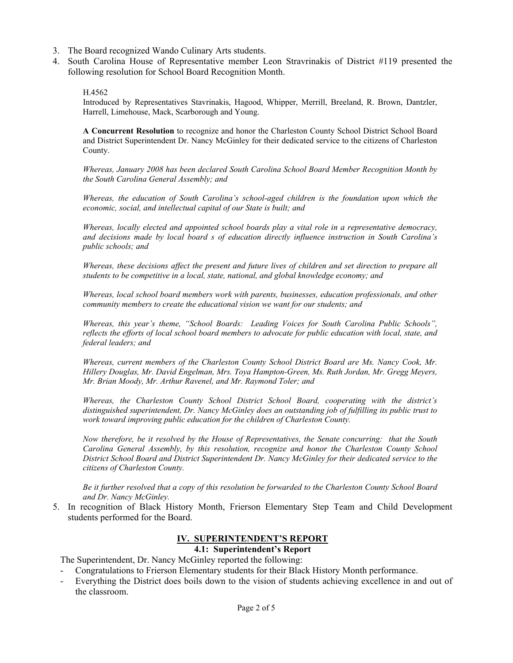- 3. The Board recognized Wando Culinary Arts students.
- 4. South Carolina House of Representative member Leon Stravrinakis of District #119 presented the following resolution for School Board Recognition Month.

```
H.4562
```
Introduced by Representatives Stavrinakis, Hagood, Whipper, Merrill, Breeland, R. Brown, Dantzler, Harrell, Limehouse, Mack, Scarborough and Young.

**A Concurrent Resolution** to recognize and honor the Charleston County School District School Board and District Superintendent Dr. Nancy McGinley for their dedicated service to the citizens of Charleston County.

*Whereas, January 2008 has been declared South Carolina School Board Member Recognition Month by the South Carolina General Assembly; and* 

*Whereas, the education of South Carolina's school-aged children is the foundation upon which the economic, social, and intellectual capital of our State is built; and* 

*Whereas, locally elected and appointed school boards play a vital role in a representative democracy, and decisions made by local board s of education directly influence instruction in South Carolina's public schools; and* 

*Whereas, these decisions affect the present and future lives of children and set direction to prepare all students to be competitive in a local, state, national, and global knowledge economy; and* 

*Whereas, local school board members work with parents, businesses, education professionals, and other community members to create the educational vision we want for our students; and* 

*Whereas, this year's theme, "School Boards: Leading Voices for South Carolina Public Schools", reflects the efforts of local school board members to advocate for public education with local, state, and federal leaders; and* 

*Whereas, current members of the Charleston County School District Board are Ms. Nancy Cook, Mr. Hillery Douglas, Mr. David Engelman, Mrs. Toya Hampton-Green, Ms. Ruth Jordan, Mr. Gregg Meyers, Mr. Brian Moody, Mr. Arthur Ravenel, and Mr. Raymond Toler; and* 

*Whereas, the Charleston County School District School Board, cooperating with the district's distinguished superintendent, Dr. Nancy McGinley does an outstanding job of fulfilling its public trust to work toward improving public education for the children of Charleston County.* 

*Now therefore, be it resolved by the House of Representatives, the Senate concurring: that the South Carolina General Assembly, by this resolution, recognize and honor the Charleston County School District School Board and District Superintendent Dr. Nancy McGinley for their dedicated service to the citizens of Charleston County.* 

*Be it further resolved that a copy of this resolution be forwarded to the Charleston County School Board and Dr. Nancy McGinley.* 

5. In recognition of Black History Month, Frierson Elementary Step Team and Child Development students performed for the Board.

# **IV. SUPERINTENDENT'S REPORT**

#### **4.1: Superintendent's Report**

The Superintendent, Dr. Nancy McGinley reported the following:

- Congratulations to Frierson Elementary students for their Black History Month performance.
- Everything the District does boils down to the vision of students achieving excellence in and out of the classroom.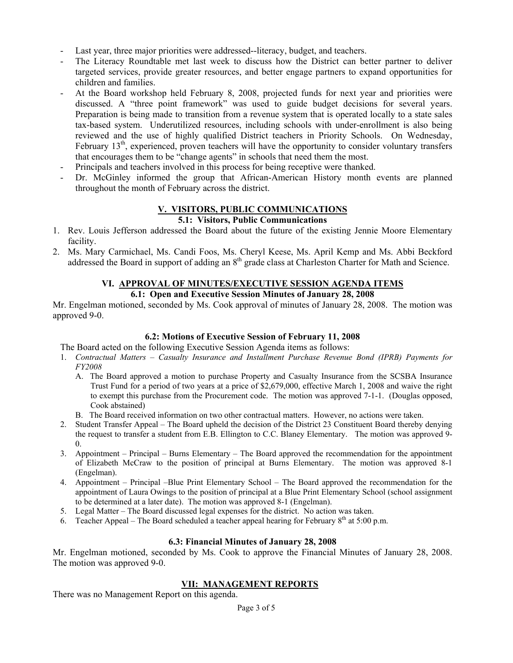- Last year, three major priorities were addressed--literacy, budget, and teachers.
- The Literacy Roundtable met last week to discuss how the District can better partner to deliver targeted services, provide greater resources, and better engage partners to expand opportunities for children and families.
- At the Board workshop held February 8, 2008, projected funds for next year and priorities were discussed. A "three point framework" was used to guide budget decisions for several years. Preparation is being made to transition from a revenue system that is operated locally to a state sales tax-based system. Underutilized resources, including schools with under-enrollment is also being reviewed and the use of highly qualified District teachers in Priority Schools. On Wednesday, February  $13<sup>th</sup>$ , experienced, proven teachers will have the opportunity to consider voluntary transfers that encourages them to be "change agents" in schools that need them the most.
- Principals and teachers involved in this process for being receptive were thanked.
- Dr. McGinley informed the group that African-American History month events are planned throughout the month of February across the district.

## **V. VISITORS, PUBLIC COMMUNICATIONS**

#### **5.1: Visitors, Public Communications**

- 1. Rev. Louis Jefferson addressed the Board about the future of the existing Jennie Moore Elementary facility.
- 2. Ms. Mary Carmichael, Ms. Candi Foos, Ms. Cheryl Keese, Ms. April Kemp and Ms. Abbi Beckford addressed the Board in support of adding an 8<sup>th</sup> grade class at Charleston Charter for Math and Science.

# **VI. APPROVAL OF MINUTES/EXECUTIVE SESSION AGENDA ITEMS**

#### **6.1: Open and Executive Session Minutes of January 28, 2008**

Mr. Engelman motioned, seconded by Ms. Cook approval of minutes of January 28, 2008. The motion was approved 9-0.

## **6.2: Motions of Executive Session of February 11, 2008**

The Board acted on the following Executive Session Agenda items as follows:

- 1. *Contractual Matters Casualty Insurance and Installment Purchase Revenue Bond (IPRB) Payments for FY2008*
	- A. The Board approved a motion to purchase Property and Casualty Insurance from the SCSBA Insurance Trust Fund for a period of two years at a price of \$2,679,000, effective March 1, 2008 and waive the right to exempt this purchase from the Procurement code. The motion was approved 7-1-1. (Douglas opposed, Cook abstained)
	- B. The Board received information on two other contractual matters. However, no actions were taken.
- 2. Student Transfer Appeal The Board upheld the decision of the District 23 Constituent Board thereby denying the request to transfer a student from E.B. Ellington to C.C. Blaney Elementary. The motion was approved 9- 0.
- 3. Appointment Principal Burns Elementary The Board approved the recommendation for the appointment of Elizabeth McCraw to the position of principal at Burns Elementary. The motion was approved 8-1 (Engelman).
- 4. Appointment Principal –Blue Print Elementary School The Board approved the recommendation for the appointment of Laura Owings to the position of principal at a Blue Print Elementary School (school assignment to be determined at a later date). The motion was approved 8-1 (Engelman).
- 5. Legal Matter The Board discussed legal expenses for the district. No action was taken.
- 6. Teacher Appeal The Board scheduled a teacher appeal hearing for February  $8<sup>th</sup>$  at 5:00 p.m.

#### **6.3: Financial Minutes of January 28, 2008**

Mr. Engelman motioned, seconded by Ms. Cook to approve the Financial Minutes of January 28, 2008. The motion was approved 9-0.

## **VII: MANAGEMENT REPORTS**

There was no Management Report on this agenda.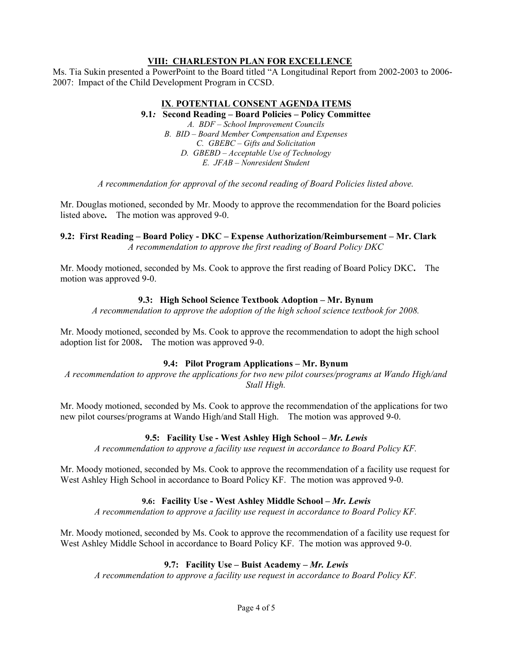#### **VIII: CHARLESTON PLAN FOR EXCELLENCE**

Ms. Tia Sukin presented a PowerPoint to the Board titled "A Longitudinal Report from 2002-2003 to 2006- 2007: Impact of the Child Development Program in CCSD.

# **IX**. **POTENTIAL CONSENT AGENDA ITEMS**

**9.1***:* **Second Reading – Board Policies – Policy Committee** *A. BDF – School Improvement Councils B. BID – Board Member Compensation and Expenses C. GBEBC – Gifts and Solicitation D. GBEBD – Acceptable Use of Technology* 

*E. JFAB – Nonresident Student* 

*A recommendation for approval of the second reading of Board Policies listed above.* 

Mr. Douglas motioned, seconded by Mr. Moody to approve the recommendation for the Board policies listed above**.** The motion was approved 9-0.

**9.2: First Reading – Board Policy - DKC – Expense Authorization/Reimbursement – Mr. Clark**  *A recommendation to approve the first reading of Board Policy DKC* 

Mr. Moody motioned, seconded by Ms. Cook to approve the first reading of Board Policy DKC**.** The motion was approved 9-0.

#### **9.3: High School Science Textbook Adoption – Mr. Bynum**

*A recommendation to approve the adoption of the high school science textbook for 2008.* 

Mr. Moody motioned, seconded by Ms. Cook to approve the recommendation to adopt the high school adoption list for 2008**.** The motion was approved 9-0.

## **9.4: Pilot Program Applications – Mr. Bynum**

*A recommendation to approve the applications for two new pilot courses/programs at Wando High/and Stall High.* 

Mr. Moody motioned, seconded by Ms. Cook to approve the recommendation of the applications for two new pilot courses/programs at Wando High/and Stall High.The motion was approved 9-0.

## **9.5: Facility Use - West Ashley High School – Mr. Lewis**

*A recommendation to approve a facility use request in accordance to Board Policy KF.* 

Mr. Moody motioned, seconded by Ms. Cook to approve the recommendation of a facility use request for West Ashley High School in accordance to Board Policy KF. The motion was approved 9-0.

## **9.6: Facility Use - West Ashley Middle School** *– Mr. Lewis*

*A recommendation to approve a facility use request in accordance to Board Policy KF.* 

Mr. Moody motioned, seconded by Ms. Cook to approve the recommendation of a facility use request for West Ashley Middle School in accordance to Board Policy KF. The motion was approved 9-0.

#### **9.7: Facility Use – Buist Academy** *– Mr. Lewis*

*A recommendation to approve a facility use request in accordance to Board Policy KF.*